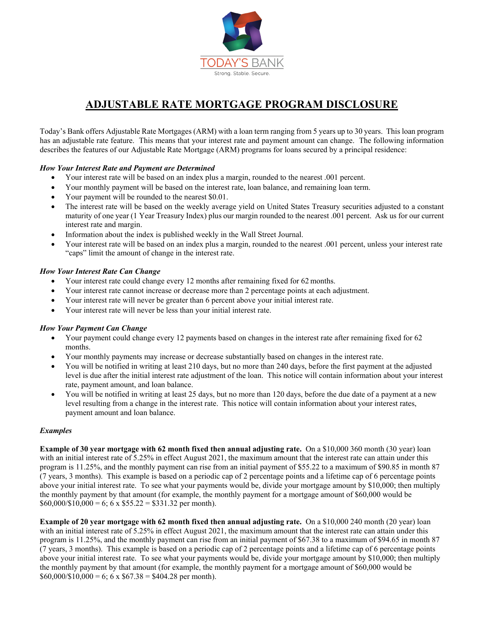

# **ADJUSTABLE RATE MORTGAGE PROGRAM DISCLOSURE**

Today's Bank offers Adjustable Rate Mortgages (ARM) with a loan term ranging from 5 years up to 30 years. This loan program has an adjustable rate feature. This means that your interest rate and payment amount can change. The following information describes the features of our Adjustable Rate Mortgage (ARM) programs for loans secured by a principal residence:

## *How Your Interest Rate and Payment are Determined*

- Your interest rate will be based on an index plus a margin, rounded to the nearest .001 percent.
- Your monthly payment will be based on the interest rate, loan balance, and remaining loan term.
- Your payment will be rounded to the nearest \$0.01.
- The interest rate will be based on the weekly average yield on United States Treasury securities adjusted to a constant maturity of one year (1 Year Treasury Index) plus our margin rounded to the nearest .001 percent. Ask us for our current interest rate and margin.
- Information about the index is published weekly in the Wall Street Journal.
- Your interest rate will be based on an index plus a margin, rounded to the nearest .001 percent, unless your interest rate "caps" limit the amount of change in the interest rate.

### *How Your Interest Rate Can Change*

- Your interest rate could change every 12 months after remaining fixed for 62 months.
- Your interest rate cannot increase or decrease more than 2 percentage points at each adjustment.
- Your interest rate will never be greater than 6 percent above your initial interest rate.
- Your interest rate will never be less than your initial interest rate.

### *How Your Payment Can Change*

- Your payment could change every 12 payments based on changes in the interest rate after remaining fixed for 62 months.
- Your monthly payments may increase or decrease substantially based on changes in the interest rate.
- You will be notified in writing at least 210 days, but no more than 240 days, before the first payment at the adjusted level is due after the initial interest rate adjustment of the loan. This notice will contain information about your interest rate, payment amount, and loan balance.
- You will be notified in writing at least 25 days, but no more than 120 days, before the due date of a payment at a new level resulting from a change in the interest rate. This notice will contain information about your interest rates, payment amount and loan balance.

### *Examples*

**Example of 30 year mortgage with 62 month fixed then annual adjusting rate.** On a \$10,000 360 month (30 year) loan with an initial interest rate of 5.25% in effect August 2021, the maximum amount that the interest rate can attain under this program is 11.25%, and the monthly payment can rise from an initial payment of \$55.22 to a maximum of \$90.85 in month 87 (7 years, 3 months). This example is based on a periodic cap of 2 percentage points and a lifetime cap of 6 percentage points above your initial interest rate. To see what your payments would be, divide your mortgage amount by \$10,000; then multiply the monthly payment by that amount (for example, the monthly payment for a mortgage amount of \$60,000 would be  $$60,000/\$10,000 = 6$ ; 6 x  $$55.22 = $331.32$  per month).

**Example of 20 year mortgage with 62 month fixed then annual adjusting rate.** On a \$10,000 240 month (20 year) loan with an initial interest rate of 5.25% in effect August 2021, the maximum amount that the interest rate can attain under this program is 11.25%, and the monthly payment can rise from an initial payment of \$67.38 to a maximum of \$94.65 in month 87 (7 years, 3 months). This example is based on a periodic cap of 2 percentage points and a lifetime cap of 6 percentage points above your initial interest rate. To see what your payments would be, divide your mortgage amount by \$10,000; then multiply the monthly payment by that amount (for example, the monthly payment for a mortgage amount of \$60,000 would be  $$60,000/\$10,000 = 6$ ; 6 x  $$67.38 = $404.28$  per month).